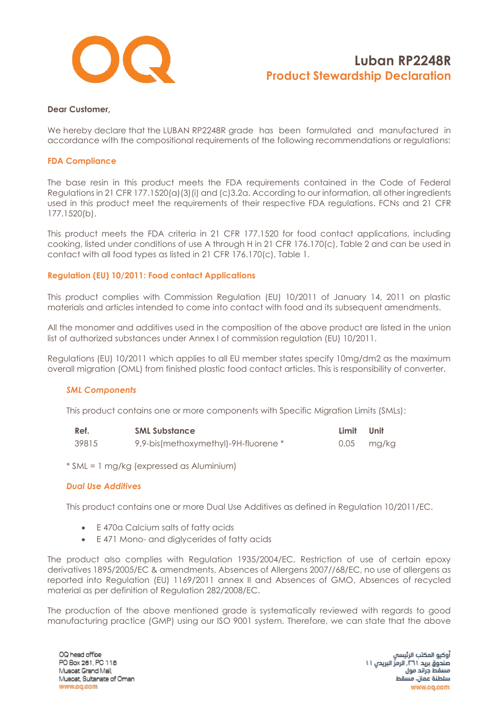

### **Dear Customer,**

We hereby declare that the LUBAN RP2248R grade has been formulated and manufactured in accordance with the compositional requirements of the following recommendations or regulations:

#### **FDA Compliance**

The base resin in this product meets the FDA requirements contained in the Code of Federal Regulations in 21 CFR 177.1520(a)(3)(i) and (c)3.2a. According to our information, all other ingredients used in this product meet the requirements of their respective FDA regulations. FCNs and 21 CFR 177.1520(b).

This product meets the FDA criteria in 21 CFR 177.1520 for food contact applications, including cooking, listed under conditions of use A through H in 21 CFR 176.170(c), Table 2 and can be used in contact with all food types as listed in 21 CFR 176.170(c), Table 1.

## **Regulation (EU) 10/2011: Food contact Applications**

This product complies with Commission Regulation (EU) 10/2011 of January 14, 2011 on plastic materials and articles intended to come into contact with food and its subsequent amendments.

All the monomer and additives used in the composition of the above product are listed in the union list of authorized substances under Annex I of commission regulation (EU) 10/2011.

Regulations (EU) 10/2011 which applies to all EU member states specify 10mg/dm2 as the maximum overall migration (OML) from finished plastic food contact articles. This is responsibility of converter.

#### *SML Components*

This product contains one or more components with Specific Migration Limits (SMLs):

| Ref.  | <b>SML Substance</b>                 | Limit Unit |            |
|-------|--------------------------------------|------------|------------|
| 39815 | 9,9-bis(methoxymethyl)-9H-fluorene * |            | 0.05 mg/kg |

\* SML = 1 mg/kg (expressed as Aluminium)

#### *Dual Use Additives*

This product contains one or more Dual Use Additives as defined in Regulation 10/2011/EC.

- E 470a Calcium salts of fatty acids
- E 471 Mono- and diglycerides of fatty acids

The product also complies with Regulation 1935/2004/EC, Restriction of use of certain epoxy derivatives 1895/2005/EC & amendments, Absences of Allergens 2007//68/EC, no use of allergens as reported into Regulation (EU) 1169/2011 annex II and Absences of GMO, Absences of recycled material as per definition of Regulation 282/2008/EC.

The production of the above mentioned grade is systematically reviewed with regards to good manufacturing practice (GMP) using our ISO 9001 system. Therefore, we can state that the above

OQ head office PO Box 261, PC 118 Musoat Grand Mall, Muscat, Sultanate of Oman www.oq.com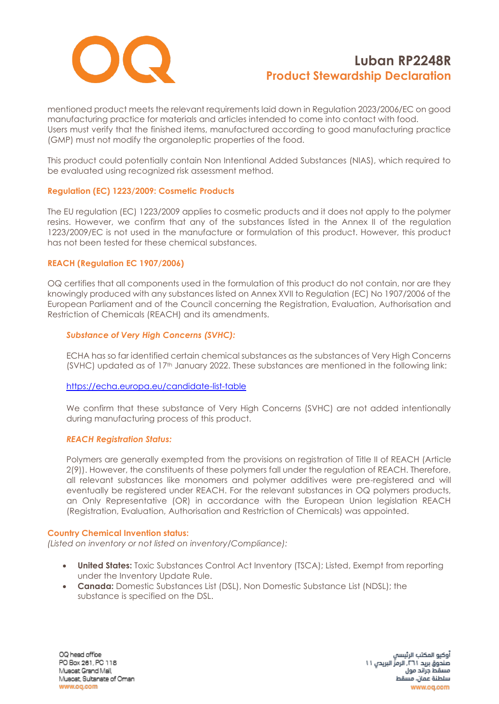

mentioned product meets the relevant requirements laid down in Regulation 2023/2006/EC on good manufacturing practice for materials and articles intended to come into contact with food. Users must verify that the finished items, manufactured according to good manufacturing practice (GMP) must not modify the organoleptic properties of the food.

This product could potentially contain Non Intentional Added Substances (NIAS), which required to be evaluated using recognized risk assessment method.

## **Regulation (EC) 1223/2009: Cosmetic Products**

The EU regulation (EC) 1223/2009 applies to cosmetic products and it does not apply to the polymer resins. However, we confirm that any of the substances listed in the Annex II of the regulation 1223/2009/EC is not used in the manufacture or formulation of this product. However, this product has not been tested for these chemical substances.

## **REACH (Regulation EC 1907/2006)**

OQ certifies that all components used in the formulation of this product do not contain, nor are they knowingly produced with any substances listed on Annex XVII to Regulation (EC) No 1907/2006 of the European Parliament and of the Council concerning the Registration, Evaluation, Authorisation and Restriction of Chemicals (REACH) and its amendments.

## *Substance of Very High Concerns (SVHC):*

ECHA has so far identified certain chemical substances as the substances of Very High Concerns (SVHC) updated as of 17<sup>th</sup> January 2022. These substances are mentioned in the following link:

## <https://echa.europa.eu/candidate-list-table>

We confirm that these substance of Very High Concerns (SVHC) are not added intentionally during manufacturing process of this product.

## *REACH Registration Status:*

Polymers are generally exempted from the provisions on registration of Title II of REACH (Article 2(9)). However, the constituents of these polymers fall under the regulation of REACH. Therefore, all relevant substances like monomers and polymer additives were pre-registered and will eventually be registered under REACH. For the relevant substances in OQ polymers products, an Only Representative (OR) in accordance with the European Union legislation REACH (Registration, Evaluation, Authorisation and Restriction of Chemicals) was appointed.

## **Country Chemical Invention status:**

*(Listed on inventory or not listed on inventory/Compliance):*

- **United States:** Toxic Substances Control Act Inventory (TSCA); Listed, Exempt from reporting under the Inventory Update Rule.
- **Canada:** Domestic Substances List (DSL), Non Domestic Substance List (NDSL); the substance is specified on the DSL.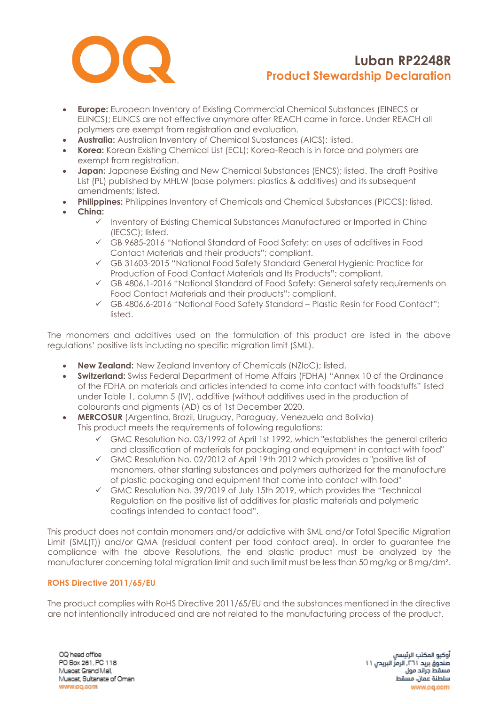

- **Europe:** European Inventory of Existing Commercial Chemical Substances (EINECS or ELINCS); ELINCS are not effective anymore after REACH came in force. Under REACH all polymers are exempt from registration and evaluation.
- **Australia:** Australian Inventory of Chemical Substances (AICS); listed.
- **Korea:** Korean Existing Chemical List (ECL); Korea-Reach is in force and polymers are exempt from registration.
- **Japan:** Japanese Existing and New Chemical Substances (ENCS); listed. The draft Positive List (PL) published by MHLW (base polymers: plastics & additives) and its subsequent amendments; listed.
- **Philippines:** Philippines Inventory of Chemicals and Chemical Substances (PICCS); listed.
- **China:**
	- ✓ Inventory of Existing Chemical Substances Manufactured or Imported in China (IECSC); listed.
	- ✓ GB 9685-2016 "National Standard of Food Safety: on uses of additives in Food Contact Materials and their products"; compliant.
	- ✓ GB 31603-2015 "National Food Safety Standard General Hygienic Practice for Production of Food Contact Materials and Its Products"; compliant.
	- ✓ GB 4806.1-2016 "National Standard of Food Safety: General safety requirements on Food Contact Materials and their products"; compliant.
	- ✓ GB 4806.6-2016 "National Food Safety Standard Plastic Resin for Food Contact"; listed.

The monomers and additives used on the formulation of this product are listed in the above regulations' positive lists including no specific migration limit (SML).

- **New Zealand:** New Zealand Inventory of Chemicals (NZIoC); listed.
- **Switzerland:** Swiss Federal Department of Home Affairs (FDHA) "Annex 10 of the Ordinance of the FDHA on materials and articles intended to come into contact with foodstuffs" listed under Table 1, column 5 (IV), additive (without additives used in the production of colourants and pigments (AD) as of 1st December 2020.
- **MERCOSUR** (Argentina, Brazil, Uruguay, Paraguay, Venezuela and Bolivia) This product meets the requirements of following regulations:
	- GMC Resolution No. 03/1992 of April 1st 1992, which "establishes the general criteria and classification of materials for packaging and equipment in contact with food"
	- ✓ GMC Resolution No. 02/2012 of April 19th 2012 which provides a "positive list of monomers, other starting substances and polymers authorized for the manufacture of plastic packaging and equipment that come into contact with food"
	- $\checkmark$  GMC Resolution No. 39/2019 of July 15th 2019, which provides the "Technical Regulation on the positive list of additives for plastic materials and polymeric coatings intended to contact food".

This product does not contain monomers and/or addictive with SML and/or Total Specific Migration Limit (SML(T)) and/or QMA (residual content per food contact area). In order to guarantee the compliance with the above Resolutions, the end plastic product must be analyzed by the manufacturer concerning total migration limit and such limit must be less than 50 mg/kg or 8 mg/dm².

## **ROHS Directive 2011/65/EU**

The product complies with RoHS Directive 2011/65/EU and the substances mentioned in the directive are not intentionally introduced and are not related to the manufacturing process of the product.

OQ head office PO Box 261, PC 118 Musoat Grand Mall, Muscat, Sultanate of Oman www.oq.com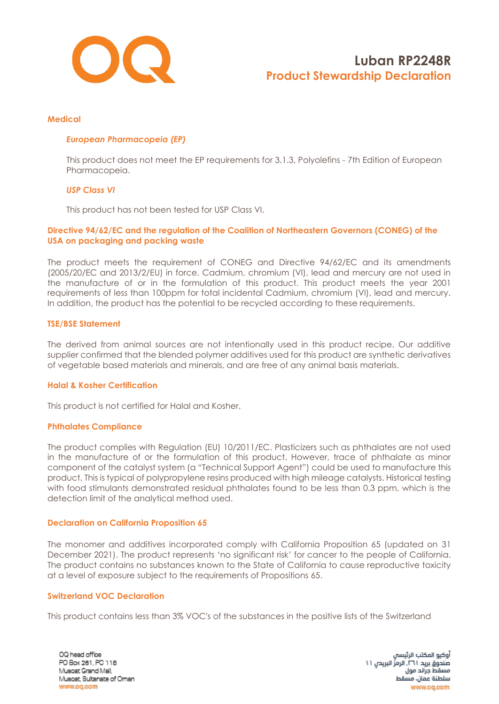

### **Medical**

## *European Pharmacopeia (EP)*

This product does not meet the EP requirements for 3.1.3, Polyolefins - 7th Edition of European Pharmacopeia.

### *USP Class VI*

This product has not been tested for USP Class VI.

## **Directive 94/62/EC and the regulation of the Coalition of Northeastern Governors (CONEG) of the USA on packaging and packing waste**

The product meets the requirement of CONEG and Directive 94/62/EC and its amendments (2005/20/EC and 2013/2/EU) in force. Cadmium, chromium (VI), lead and mercury are not used in the manufacture of or in the formulation of this product. This product meets the year 2001 requirements of less than 100ppm for total incidental Cadmium, chromium (VI), lead and mercury. In addition, the product has the potential to be recycled according to these requirements.

## **TSE/BSE Statement**

The derived from animal sources are not intentionally used in this product recipe. Our additive supplier confirmed that the blended polymer additives used for this product are synthetic derivatives of vegetable based materials and minerals, and are free of any animal basis materials.

## **Halal & Kosher Certification**

This product is not certified for Halal and Kosher.

## **Phthalates Compliance**

The product complies with Regulation (EU) 10/2011/EC. Plasticizers such as phthalates are not used in the manufacture of or the formulation of this product. However, trace of phthalate as minor component of the catalyst system (a "Technical Support Agent") could be used to manufacture this product. This is typical of polypropylene resins produced with high mileage catalysts. Historical testing with food stimulants demonstrated residual phthalates found to be less than 0.3 ppm, which is the detection limit of the analytical method used.

## **Declaration on California Proposition 65**

The monomer and additives incorporated comply with California Proposition 65 (updated on 31 December 2021). The product represents 'no significant risk' for cancer to the people of California. The product contains no substances known to the State of California to cause reproductive toxicity at a level of exposure subject to the requirements of Propositions 65.

#### **Switzerland VOC Declaration**

This product contains less than 3% VOC's of the substances in the positive lists of the Switzerland

OQ head office PO Box 261, PC 118 Musoat Grand Mall, Muscat, Sultanate of Oman www.oq.com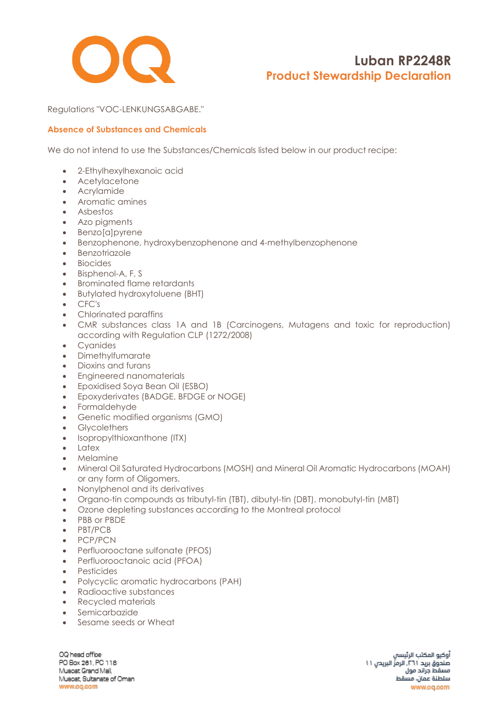

Regulations "VOC-LENKUNGSABGABE."

## **Absence of Substances and Chemicals**

We do not intend to use the Substances/Chemicals listed below in our product recipe:

- 2-Ethylhexylhexanoic acid
- Acetylacetone
- Acrylamide
- Aromatic amines
- Asbestos
- Azo pigments
- Benzo[a]pyrene
- Benzophenone, hydroxybenzophenone and 4-methylbenzophenone
- Benzotriazole
- Biocides
- Bisphenol-A, F, S
- Brominated flame retardants
- Butylated hydroxytoluene (BHT)
- CFC's
- Chlorinated paraffins
- CMR substances class 1A and 1B (Carcinogens, Mutagens and toxic for reproduction) according with Regulation CLP (1272/2008)
- Cyanides
- Dimethylfumarate
- Dioxins and furans
- Engineered nanomaterials
- Epoxidised Soya Bean Oil (ESBO)
- Epoxyderivates (BADGE, BFDGE or NOGE)
- Formaldehyde
- Genetic modified organisms (GMO)
- Glycolethers
- [Isopropylthioxanthone](https://www.google.com/search?rlz=1C1CHBF_enAE772AE772&q=Isopropylthioxanthone+(ITX)&spell=1&sa=X&ved=0ahUKEwjZgv6l6_fZAhWOblAKHQZfCSMQkeECCCIoAA) (ITX)
- Latex
- Melamine
- Mineral Oil Saturated Hydrocarbons (MOSH) and Mineral Oil Aromatic Hydrocarbons (MOAH) or any form of Oligomers.
- Nonylphenol and its derivatives
- Organo-tin compounds as tributyl-tin (TBT), dibutyl-tin (DBT), monobutyl-tin (MBT)
- Ozone depleting substances according to the Montreal protocol
- PBB or PBDE
- PBT/PCB
- PCP/PCN
- Perfluorooctane sulfonate (PFOS)
- Perfluorooctanoic acid (PFOA)
- Pesticides
- Polycyclic aromatic hydrocarbons (PAH)
- Radioactive substances
- Recycled materials
- Semicarbazide
- Sesame seeds or Wheat

OQ head office PO Box 261, PC 118 Musoat Grand Mall, Muscat, Sultanate of Oman www.oq.com